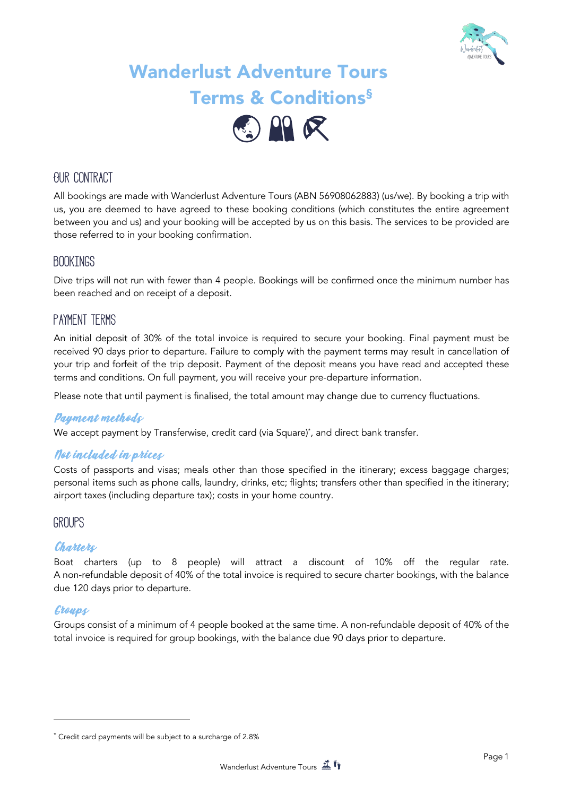

# Wanderlust Adventure Tours Terms & Conditions§



# **Our contract**

All bookings are made with Wanderlust Adventure Tours (ABN 56908062883) (us/we). By booking a trip with us, you are deemed to have agreed to these booking conditions (which constitutes the entire agreement between you and us) and your booking will be accepted by us on this basis. The services to be provided are those referred to in your booking confirmation.

### **Bookings**

Dive trips will not run with fewer than 4 people. Bookings will be confirmed once the minimum number has been reached and on receipt of a deposit.

### **Payment terms**

An initial deposit of 30% of the total invoice is required to secure your booking. Final payment must be received 90 days prior to departure. Failure to comply with the payment terms may result in cancellation of your trip and forfeit of the trip deposit. Payment of the deposit means you have read and accepted these terms and conditions. On full payment, you will receive your pre-departure information.

Please note that until payment is finalised, the total amount may change due to currency fluctuations.

#### Payment methods

We accept payment by Transferwise, credit card (via Square)\* , and direct bank transfer.

#### Not included in prices

Costs of passports and visas; meals other than those specified in the itinerary; excess baggage charges; personal items such as phone calls, laundry, drinks, etc; flights; transfers other than specified in the itinerary; airport taxes (including departure tax); costs in your home country.

#### **Groups**

#### Charters

Boat charters (up to 8 people) will attract a discount of 10% off the regular rate. A non-refundable deposit of 40% of the total invoice is required to secure charter bookings, with the balance due 120 days prior to departure.

#### Groups

Groups consist of a minimum of 4 people booked at the same time. A non-refundable deposit of 40% of the total invoice is required for group bookings, with the balance due 90 days prior to departure.

<sup>\*</sup> Credit card payments will be subject to a surcharge of 2.8%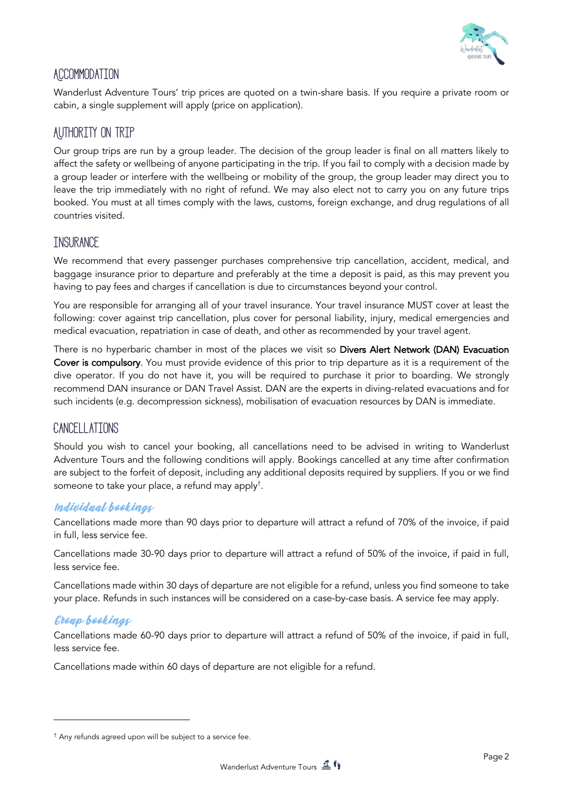

# **Accommodation**

Wanderlust Adventure Tours' trip prices are quoted on a twin-share basis. If you require a private room or cabin, a single supplement will apply (price on application).

# **Authority on trip**

Our group trips are run by a group leader. The decision of the group leader is final on all matters likely to affect the safety or wellbeing of anyone participating in the trip. If you fail to comply with a decision made by a group leader or interfere with the wellbeing or mobility of the group, the group leader may direct you to leave the trip immediately with no right of refund. We may also elect not to carry you on any future trips booked. You must at all times comply with the laws, customs, foreign exchange, and drug regulations of all countries visited.

### **Insurance**

We recommend that every passenger purchases comprehensive trip cancellation, accident, medical, and baggage insurance prior to departure and preferably at the time a deposit is paid, as this may prevent you having to pay fees and charges if cancellation is due to circumstances beyond your control.

You are responsible for arranging all of your travel insurance. Your travel insurance MUST cover at least the following: cover against trip cancellation, plus cover for personal liability, injury, medical emergencies and medical evacuation, repatriation in case of death, and other as recommended by your travel agent.

There is no hyperbaric chamber in most of the places we visit so Divers Alert Network (DAN) Evacuation Cover is compulsory. You must provide evidence of this prior to trip departure as it is a requirement of the dive operator. If you do not have it, you will be required to purchase it prior to boarding. We strongly recommend DAN insurance or DAN Travel Assist. DAN are the experts in diving-related evacuations and for such incidents (e.g. decompression sickness), mobilisation of evacuation resources by DAN is immediate.

### **Cancellations**

Should you wish to cancel your booking, all cancellations need to be advised in writing to Wanderlust Adventure Tours and the following conditions will apply. Bookings cancelled at any time after confirmation are subject to the forfeit of deposit, including any additional deposits required by suppliers. If you or we find someone to take your place, a refund may apply† .

#### Individual bookings

Cancellations made more than 90 days prior to departure will attract a refund of 70% of the invoice, if paid in full, less service fee.

Cancellations made 30-90 days prior to departure will attract a refund of 50% of the invoice, if paid in full, less service fee.

Cancellations made within 30 days of departure are not eligible for a refund, unless you find someone to take your place. Refunds in such instances will be considered on a case-by-case basis. A service fee may apply.

### Group bookings

Cancellations made 60-90 days prior to departure will attract a refund of 50% of the invoice, if paid in full, less service fee.

Cancellations made within 60 days of departure are not eligible for a refund.

<sup>†</sup> Any refunds agreed upon will be subject to a service fee.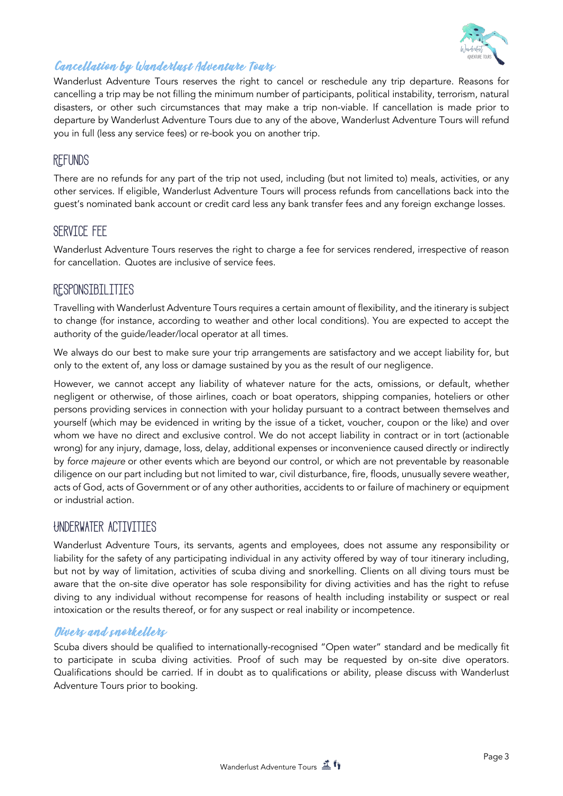

### Cancellation by Wanderlust Adventure Tours

Wanderlust Adventure Tours reserves the right to cancel or reschedule any trip departure. Reasons for cancelling a trip may be not filling the minimum number of participants, political instability, terrorism, natural disasters, or other such circumstances that may make a trip non-viable. If cancellation is made prior to departure by Wanderlust Adventure Tours due to any of the above, Wanderlust Adventure Tours will refund you in full (less any service fees) or re-book you on another trip.

# **Refunds**

There are no refunds for any part of the trip not used, including (but not limited to) meals, activities, or any other services. If eligible, Wanderlust Adventure Tours will process refunds from cancellations back into the guest's nominated bank account or credit card less any bank transfer fees and any foreign exchange losses.

### **Service fee**

Wanderlust Adventure Tours reserves the right to charge a fee for services rendered, irrespective of reason for cancellation. Quotes are inclusive of service fees.

# **Responsibilities**

Travelling with Wanderlust Adventure Tours requires a certain amount of flexibility, and the itinerary is subject to change (for instance, according to weather and other local conditions). You are expected to accept the authority of the guide/leader/local operator at all times.

We always do our best to make sure your trip arrangements are satisfactory and we accept liability for, but only to the extent of, any loss or damage sustained by you as the result of our negligence.

However, we cannot accept any liability of whatever nature for the acts, omissions, or default, whether negligent or otherwise, of those airlines, coach or boat operators, shipping companies, hoteliers or other persons providing services in connection with your holiday pursuant to a contract between themselves and yourself (which may be evidenced in writing by the issue of a ticket, voucher, coupon or the like) and over whom we have no direct and exclusive control. We do not accept liability in contract or in tort (actionable wrong) for any injury, damage, loss, delay, additional expenses or inconvenience caused directly or indirectly by *force majeure* or other events which are beyond our control, or which are not preventable by reasonable diligence on our part including but not limited to war, civil disturbance, fire, floods, unusually severe weather, acts of God, acts of Government or of any other authorities, accidents to or failure of machinery or equipment or industrial action.

# **Underwater activities**

Wanderlust Adventure Tours, its servants, agents and employees, does not assume any responsibility or liability for the safety of any participating individual in any activity offered by way of tour itinerary including, but not by way of limitation, activities of scuba diving and snorkelling. Clients on all diving tours must be aware that the on-site dive operator has sole responsibility for diving activities and has the right to refuse diving to any individual without recompense for reasons of health including instability or suspect or real intoxication or the results thereof, or for any suspect or real inability or incompetence.

#### Divers and snorkellers

Scuba divers should be qualified to internationally-recognised "Open water" standard and be medically fit to participate in scuba diving activities. Proof of such may be requested by on-site dive operators. Qualifications should be carried. If in doubt as to qualifications or ability, please discuss with Wanderlust Adventure Tours prior to booking.